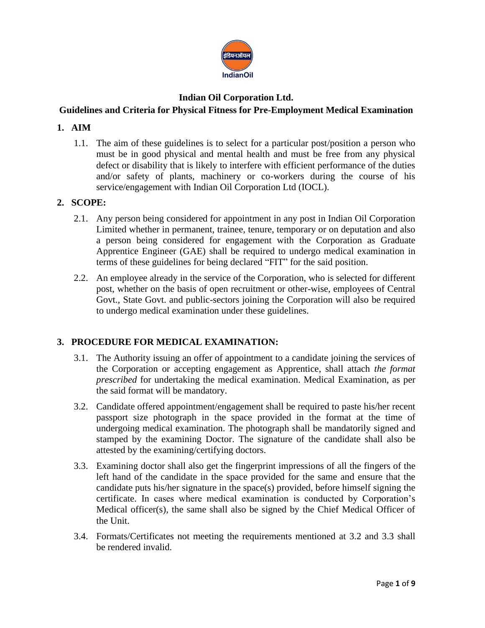

# **Indian Oil Corporation Ltd.**

# **Guidelines and Criteria for Physical Fitness for Pre-Employment Medical Examination**

# **1. AIM**

1.1. The aim of these guidelines is to select for a particular post/position a person who must be in good physical and mental health and must be free from any physical defect or disability that is likely to interfere with efficient performance of the duties and/or safety of plants, machinery or co-workers during the course of his service/engagement with Indian Oil Corporation Ltd (IOCL).

# **2. SCOPE:**

- 2.1. Any person being considered for appointment in any post in Indian Oil Corporation Limited whether in permanent, trainee, tenure, temporary or on deputation and also a person being considered for engagement with the Corporation as Graduate Apprentice Engineer (GAE) shall be required to undergo medical examination in terms of these guidelines for being declared "FIT" for the said position.
- 2.2. An employee already in the service of the Corporation, who is selected for different post, whether on the basis of open recruitment or other-wise, employees of Central Govt., State Govt. and public-sectors joining the Corporation will also be required to undergo medical examination under these guidelines.

# **3. PROCEDURE FOR MEDICAL EXAMINATION:**

- 3.1. The Authority issuing an offer of appointment to a candidate joining the services of the Corporation or accepting engagement as Apprentice, shall attach *the format prescribed* for undertaking the medical examination. Medical Examination, as per the said format will be mandatory.
- 3.2. Candidate offered appointment/engagement shall be required to paste his/her recent passport size photograph in the space provided in the format at the time of undergoing medical examination. The photograph shall be mandatorily signed and stamped by the examining Doctor. The signature of the candidate shall also be attested by the examining/certifying doctors.
- 3.3. Examining doctor shall also get the fingerprint impressions of all the fingers of the left hand of the candidate in the space provided for the same and ensure that the candidate puts his/her signature in the space(s) provided, before himself signing the certificate. In cases where medical examination is conducted by Corporation's Medical officer(s), the same shall also be signed by the Chief Medical Officer of the Unit.
- 3.4. Formats/Certificates not meeting the requirements mentioned at 3.2 and 3.3 shall be rendered invalid.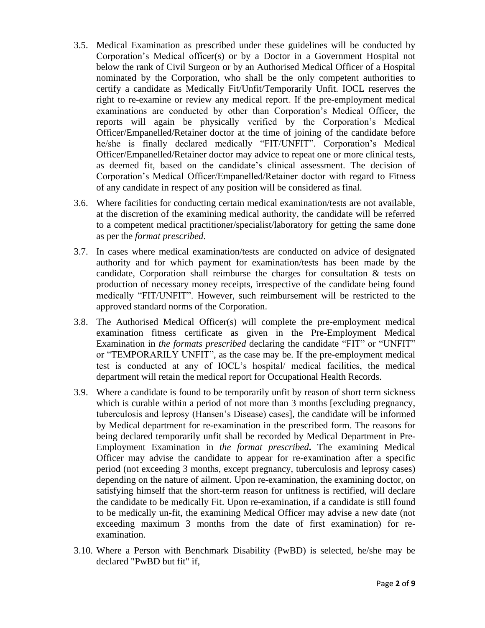- 3.5. Medical Examination as prescribed under these guidelines will be conducted by Corporation's Medical officer(s) or by a Doctor in a Government Hospital not below the rank of Civil Surgeon or by an Authorised Medical Officer of a Hospital nominated by the Corporation, who shall be the only competent authorities to certify a candidate as Medically Fit/Unfit/Temporarily Unfit. IOCL reserves the right to re-examine or review any medical report. If the pre-employment medical examinations are conducted by other than Corporation's Medical Officer, the reports will again be physically verified by the Corporation's Medical Officer/Empanelled/Retainer doctor at the time of joining of the candidate before he/she is finally declared medically "FIT/UNFIT". Corporation's Medical Officer/Empanelled/Retainer doctor may advice to repeat one or more clinical tests, as deemed fit, based on the candidate's clinical assessment. The decision of Corporation's Medical Officer/Empanelled/Retainer doctor with regard to Fitness of any candidate in respect of any position will be considered as final.
- 3.6. Where facilities for conducting certain medical examination/tests are not available, at the discretion of the examining medical authority, the candidate will be referred to a competent medical practitioner/specialist/laboratory for getting the same done as per the *format prescribed*.
- 3.7. In cases where medical examination/tests are conducted on advice of designated authority and for which payment for examination/tests has been made by the candidate, Corporation shall reimburse the charges for consultation & tests on production of necessary money receipts, irrespective of the candidate being found medically "FIT/UNFIT". However, such reimbursement will be restricted to the approved standard norms of the Corporation.
- 3.8. The Authorised Medical Officer(s) will complete the pre-employment medical examination fitness certificate as given in the Pre-Employment Medical Examination in *the formats prescribed* declaring the candidate "FIT" or "UNFIT" or "TEMPORARILY UNFIT", as the case may be. If the pre-employment medical test is conducted at any of IOCL's hospital/ medical facilities, the medical department will retain the medical report for Occupational Health Records.
- 3.9. Where a candidate is found to be temporarily unfit by reason of short term sickness which is curable within a period of not more than 3 months [excluding pregnancy, tuberculosis and leprosy (Hansen's Disease) cases], the candidate will be informed by Medical department for re-examination in the prescribed form. The reasons for being declared temporarily unfit shall be recorded by Medical Department in Pre-Employment Examination in *the format prescribed***.** The examining Medical Officer may advise the candidate to appear for re-examination after a specific period (not exceeding 3 months, except pregnancy, tuberculosis and leprosy cases) depending on the nature of ailment. Upon re-examination, the examining doctor, on satisfying himself that the short-term reason for unfitness is rectified, will declare the candidate to be medically Fit. Upon re-examination, if a candidate is still found to be medically un-fit, the examining Medical Officer may advise a new date (not exceeding maximum 3 months from the date of first examination) for reexamination.
- 3.10. Where a Person with Benchmark Disability (PwBD) is selected, he/she may be declared "PwBD but fit" if,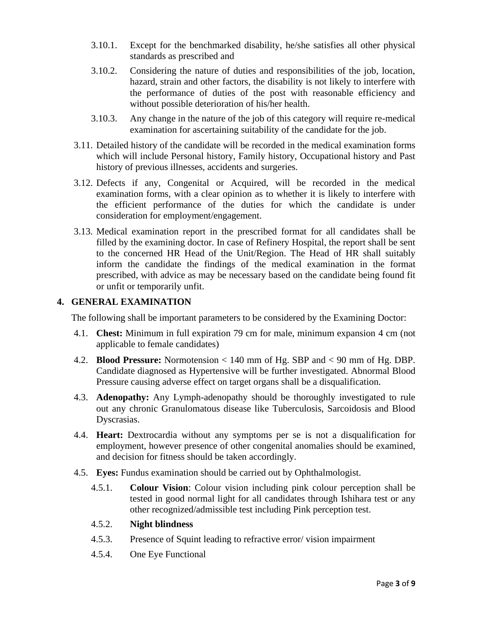- 3.10.1. Except for the benchmarked disability, he/she satisfies all other physical standards as prescribed and
- 3.10.2. Considering the nature of duties and responsibilities of the job, location, hazard, strain and other factors, the disability is not likely to interfere with the performance of duties of the post with reasonable efficiency and without possible deterioration of his/her health.
- 3.10.3. Any change in the nature of the job of this category will require re-medical examination for ascertaining suitability of the candidate for the job.
- 3.11. Detailed history of the candidate will be recorded in the medical examination forms which will include Personal history, Family history, Occupational history and Past history of previous illnesses, accidents and surgeries.
- 3.12. Defects if any, Congenital or Acquired, will be recorded in the medical examination forms, with a clear opinion as to whether it is likely to interfere with the efficient performance of the duties for which the candidate is under consideration for employment/engagement.
- 3.13. Medical examination report in the prescribed format for all candidates shall be filled by the examining doctor. In case of Refinery Hospital, the report shall be sent to the concerned HR Head of the Unit/Region. The Head of HR shall suitably inform the candidate the findings of the medical examination in the format prescribed, with advice as may be necessary based on the candidate being found fit or unfit or temporarily unfit.

# **4. GENERAL EXAMINATION**

The following shall be important parameters to be considered by the Examining Doctor:

- 4.1. **Chest:** Minimum in full expiration 79 cm for male, minimum expansion 4 cm (not applicable to female candidates)
- 4.2. **Blood Pressure:** Normotension < 140 mm of Hg. SBP and < 90 mm of Hg. DBP. Candidate diagnosed as Hypertensive will be further investigated. Abnormal Blood Pressure causing adverse effect on target organs shall be a disqualification.
- 4.3. **Adenopathy:** Any Lymph-adenopathy should be thoroughly investigated to rule out any chronic Granulomatous disease like Tuberculosis, Sarcoidosis and Blood Dyscrasias.
- 4.4. **Heart:** Dextrocardia without any symptoms per se is not a disqualification for employment, however presence of other congenital anomalies should be examined, and decision for fitness should be taken accordingly.
- 4.5. **Eyes:** Fundus examination should be carried out by Ophthalmologist.
	- 4.5.1. **Colour Vision**: Colour vision including pink colour perception shall be tested in good normal light for all candidates through Ishihara test or any other recognized/admissible test including Pink perception test.

# 4.5.2. **Night blindness**

- 4.5.3. Presence of Squint leading to refractive error/ vision impairment
- 4.5.4. One Eye Functional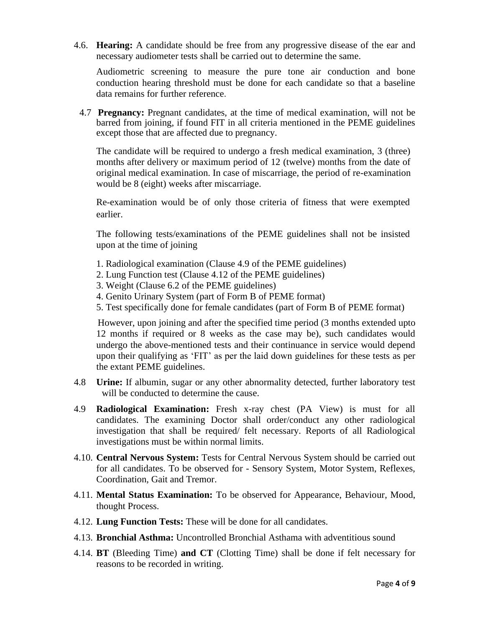4.6. **Hearing:** A candidate should be free from any progressive disease of the ear and necessary audiometer tests shall be carried out to determine the same.

Audiometric screening to measure the pure tone air conduction and bone conduction hearing threshold must be done for each candidate so that a baseline data remains for further reference.

4.7 **Pregnancy:** Pregnant candidates, at the time of medical examination, will not be barred from joining, if found FIT in all criteria mentioned in the PEME guidelines except those that are affected due to pregnancy.

The candidate will be required to undergo a fresh medical examination, 3 (three) months after delivery or maximum period of 12 (twelve) months from the date of original medical examination. In case of miscarriage, the period of re-examination would be 8 (eight) weeks after miscarriage.

Re-examination would be of only those criteria of fitness that were exempted earlier.

The following tests/examinations of the PEME guidelines shall not be insisted upon at the time of joining

- 1. Radiological examination (Clause 4.9 of the PEME guidelines)
- 2. Lung Function test (Clause 4.12 of the PEME guidelines)
- 3. Weight (Clause 6.2 of the PEME guidelines)
- 4. Genito Urinary System (part of Form B of PEME format)
- 5. Test specifically done for female candidates (part of Form B of PEME format)

However, upon joining and after the specified time period (3 months extended upto 12 months if required or 8 weeks as the case may be), such candidates would undergo the above-mentioned tests and their continuance in service would depend upon their qualifying as 'FIT' as per the laid down guidelines for these tests as per the extant PEME guidelines.

- 4.8 **Urine:** If albumin, sugar or any other abnormality detected, further laboratory test will be conducted to determine the cause.
- 4.9 **Radiological Examination:** Fresh x-ray chest (PA View) is must for all candidates. The examining Doctor shall order/conduct any other radiological investigation that shall be required/ felt necessary. Reports of all Radiological investigations must be within normal limits.
- 4.10. **Central Nervous System:** Tests for Central Nervous System should be carried out for all candidates. To be observed for - Sensory System, Motor System, Reflexes, Coordination, Gait and Tremor.
- 4.11. **Mental Status Examination:** To be observed for Appearance, Behaviour, Mood, thought Process.
- 4.12. **Lung Function Tests:** These will be done for all candidates.
- 4.13. **Bronchial Asthma:** Uncontrolled Bronchial Asthama with adventitious sound
- 4.14. **BT** (Bleeding Time) **and CT** (Clotting Time) shall be done if felt necessary for reasons to be recorded in writing.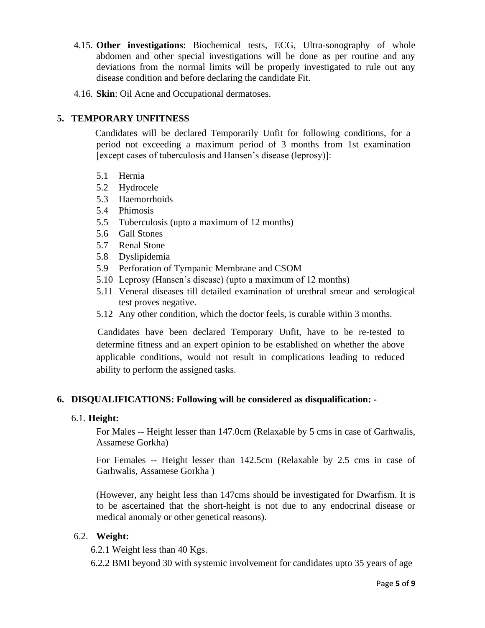- 4.15. **Other investigations**: Biochemical tests, ECG, Ultra-sonography of whole abdomen and other special investigations will be done as per routine and any deviations from the normal limits will be properly investigated to rule out any disease condition and before declaring the candidate Fit.
- 4.16. **Skin**: Oil Acne and Occupational dermatoses.

# **5. TEMPORARY UNFITNESS**

 Candidates will be declared Temporarily Unfit for following conditions, for a period not exceeding a maximum period of 3 months from 1st examination [except cases of tuberculosis and Hansen's disease (leprosy)]:

- 5.1 Hernia
- 5.2 Hydrocele
- 5.3 Haemorrhoids
- 5.4 Phimosis
- 5.5 Tuberculosis (upto a maximum of 12 months)
- 5.6 Gall Stones
- 5.7 Renal Stone
- 5.8 Dyslipidemia
- 5.9 Perforation of Tympanic Membrane and CSOM
- 5.10 Leprosy (Hansen's disease) (upto a maximum of 12 months)
- 5.11 Veneral diseases till detailed examination of urethral smear and serological test proves negative.
- 5.12 Any other condition, which the doctor feels, is curable within 3 months.

 Candidates have been declared Temporary Unfit, have to be re-tested to determine fitness and an expert opinion to be established on whether the above applicable conditions, would not result in complications leading to reduced ability to perform the assigned tasks.

# **6. DISQUALIFICATIONS: Following will be considered as disqualification: -**

# 6.1. **Height:**

For Males -- Height lesser than 147.0cm (Relaxable by 5 cms in case of Garhwalis, Assamese Gorkha)

For Females -- Height lesser than 142.5cm (Relaxable by 2.5 cms in case of Garhwalis, Assamese Gorkha )

(However, any height less than 147cms should be investigated for Dwarfism. It is to be ascertained that the short-height is not due to any endocrinal disease or medical anomaly or other genetical reasons).

# 6.2. **Weight:**

6.2.1 Weight less than 40 Kgs.

6.2.2 BMI beyond 30 with systemic involvement for candidates upto 35 years of age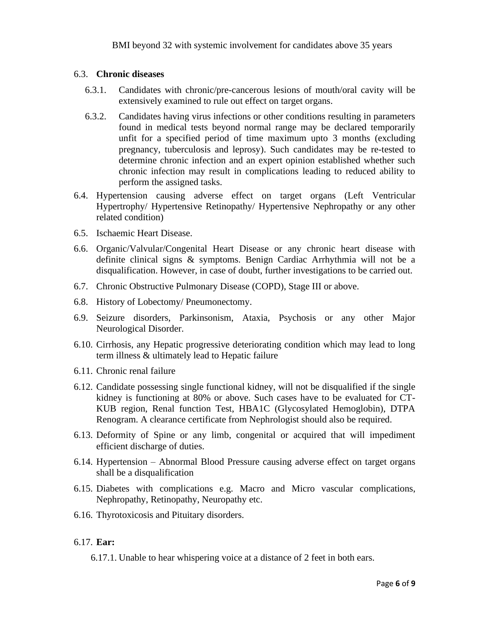#### 6.3. **Chronic diseases**

- 6.3.1. Candidates with chronic/pre-cancerous lesions of mouth/oral cavity will be extensively examined to rule out effect on target organs.
- 6.3.2. Candidates having virus infections or other conditions resulting in parameters found in medical tests beyond normal range may be declared temporarily unfit for a specified period of time maximum upto 3 months (excluding pregnancy, tuberculosis and leprosy). Such candidates may be re-tested to determine chronic infection and an expert opinion established whether such chronic infection may result in complications leading to reduced ability to perform the assigned tasks.
- 6.4. Hypertension causing adverse effect on target organs (Left Ventricular Hypertrophy/ Hypertensive Retinopathy/ Hypertensive Nephropathy or any other related condition)
- 6.5. Ischaemic Heart Disease.
- 6.6. Organic/Valvular/Congenital Heart Disease or any chronic heart disease with definite clinical signs & symptoms. Benign Cardiac Arrhythmia will not be a disqualification. However, in case of doubt, further investigations to be carried out.
- 6.7. Chronic Obstructive Pulmonary Disease (COPD), Stage III or above.
- 6.8. History of Lobectomy/ Pneumonectomy.
- 6.9. Seizure disorders, Parkinsonism, Ataxia, Psychosis or any other Major Neurological Disorder.
- 6.10. Cirrhosis, any Hepatic progressive deteriorating condition which may lead to long term illness & ultimately lead to Hepatic failure
- 6.11. Chronic renal failure
- 6.12. Candidate possessing single functional kidney, will not be disqualified if the single kidney is functioning at 80% or above. Such cases have to be evaluated for CT-KUB region, Renal function Test, HBA1C (Glycosylated Hemoglobin), DTPA Renogram. A clearance certificate from Nephrologist should also be required.
- 6.13. Deformity of Spine or any limb, congenital or acquired that will impediment efficient discharge of duties.
- 6.14. Hypertension Abnormal Blood Pressure causing adverse effect on target organs shall be a disqualification
- 6.15. Diabetes with complications e.g. Macro and Micro vascular complications, Nephropathy, Retinopathy, Neuropathy etc.
- 6.16. Thyrotoxicosis and Pituitary disorders.

# 6.17. **Ear:**

6.17.1. Unable to hear whispering voice at a distance of 2 feet in both ears.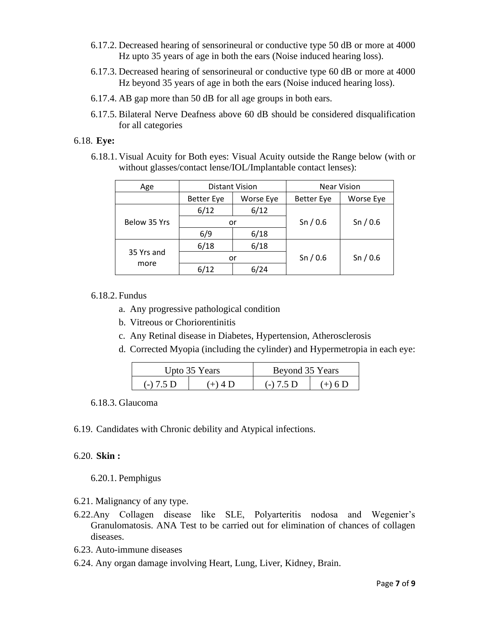- 6.17.2. Decreased hearing of sensorineural or conductive type 50 dB or more at 4000 Hz upto 35 years of age in both the ears (Noise induced hearing loss).
- 6.17.3. Decreased hearing of sensorineural or conductive type 60 dB or more at 4000 Hz beyond 35 years of age in both the ears (Noise induced hearing loss).
- 6.17.4. AB gap more than 50 dB for all age groups in both ears.
- 6.17.5. Bilateral Nerve Deafness above 60 dB should be considered disqualification for all categories

# 6.18. **Eye:**

6.18.1. Visual Acuity for Both eyes: Visual Acuity outside the Range below (with or without glasses/contact lense/IOL/Implantable contact lenses):

| Age          | Distant Vision    |           |                   | <b>Near Vision</b> |  |
|--------------|-------------------|-----------|-------------------|--------------------|--|
|              | <b>Better Eye</b> | Worse Eye | <b>Better Eye</b> | Worse Eye          |  |
|              | 6/12              | 6/12      |                   |                    |  |
| Below 35 Yrs |                   | or        | Sn/0.6            | Sn/0.6             |  |
|              | 6/9               | 6/18      |                   |                    |  |
|              | 6/18              | 6/18      |                   |                    |  |
| 35 Yrs and   | or                |           | Sn/0.6            | Sn/0.6             |  |
| more         | 6/12              | 6/24      |                   |                    |  |

# 6.18.2. Fundus

- a. Any progressive pathological condition
- b. Vitreous or Choriorentinitis
- c. Any Retinal disease in Diabetes, Hypertension, Atherosclerosis
- d. Corrected Myopia (including the cylinder) and Hypermetropia in each eye:

|             | Upto 35 Years | Beyond 35 Years |           |  |
|-------------|---------------|-----------------|-----------|--|
| $(-) 7.5 D$ | $(+) 4 1$     | $(-) 7.5 D$     | $(+)$ 6 D |  |

#### 6.18.3. Glaucoma

6.19. Candidates with Chronic debility and Atypical infections.

# 6.20. **Skin :**

6.20.1. Pemphigus

- 6.21. Malignancy of any type.
- 6.22.Any Collagen disease like SLE, Polyarteritis nodosa and Wegenier's Granulomatosis. ANA Test to be carried out for elimination of chances of collagen diseases.
- 6.23. Auto-immune diseases
- 6.24. Any organ damage involving Heart, Lung, Liver, Kidney, Brain.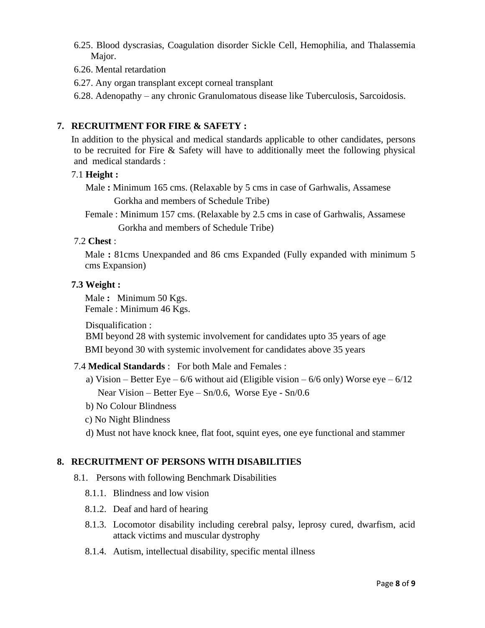- 6.25. Blood dyscrasias, Coagulation disorder Sickle Cell, Hemophilia, and Thalassemia Major.
- 6.26. Mental retardation
- 6.27. Any organ transplant except corneal transplant
- 6.28. Adenopathy any chronic Granulomatous disease like Tuberculosis, Sarcoidosis.

# **7. RECRUITMENT FOR FIRE & SAFETY :**

In addition to the physical and medical standards applicable to other candidates, persons to be recruited for Fire & Safety will have to additionally meet the following physical and medical standards :

# 7.1 **Height :**

Male **:** Minimum 165 cms. (Relaxable by 5 cms in case of Garhwalis, Assamese Gorkha and members of Schedule Tribe)

Female : Minimum 157 cms. (Relaxable by 2.5 cms in case of Garhwalis, Assamese Gorkha and members of Schedule Tribe)

# 7.2 **Chest** :

Male **:** 81cms Unexpanded and 86 cms Expanded (Fully expanded with minimum 5 cms Expansion)

# **7.3 Weight :**

Male **:** Minimum 50 Kgs. Female : Minimum 46 Kgs.

Disqualification :

BMI beyond 28 with systemic involvement for candidates upto 35 years of age BMI beyond 30 with systemic involvement for candidates above 35 years

# 7.4 **Medical Standards** : For both Male and Females :

- a) Vision Better Eye  $6/6$  without aid (Eligible vision  $6/6$  only) Worse eye  $6/12$ Near Vision – Better Eye – Sn/0.6, Worse Eye - Sn/0.6
- b) No Colour Blindness
- c) No Night Blindness
- d) Must not have knock knee, flat foot, squint eyes, one eye functional and stammer

# **8. RECRUITMENT OF PERSONS WITH DISABILITIES**

- 8.1. Persons with following Benchmark Disabilities
	- 8.1.1. Blindness and low vision
	- 8.1.2. Deaf and hard of hearing
	- 8.1.3. Locomotor disability including cerebral palsy, leprosy cured, dwarfism, acid attack victims and muscular dystrophy
	- 8.1.4. Autism, intellectual disability, specific mental illness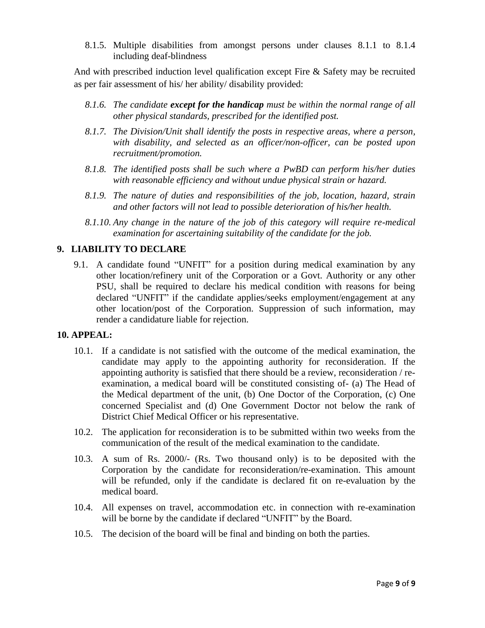8.1.5. Multiple disabilities from amongst persons under clauses 8.1.1 to 8.1.4 including deaf-blindness

And with prescribed induction level qualification except Fire & Safety may be recruited as per fair assessment of his/ her ability/ disability provided:

- *8.1.6. The candidate except for the handicap must be within the normal range of all other physical standards, prescribed for the identified post.*
- *8.1.7. The Division/Unit shall identify the posts in respective areas, where a person, with disability, and selected as an officer/non-officer, can be posted upon recruitment/promotion.*
- *8.1.8. The identified posts shall be such where a PwBD can perform his/her duties with reasonable efficiency and without undue physical strain or hazard.*
- *8.1.9. The nature of duties and responsibilities of the job, location, hazard, strain and other factors will not lead to possible deterioration of his/her health.*
- *8.1.10. Any change in the nature of the job of this category will require re-medical examination for ascertaining suitability of the candidate for the job.*

# **9. LIABILITY TO DECLARE**

9.1. A candidate found "UNFIT" for a position during medical examination by any other location/refinery unit of the Corporation or a Govt. Authority or any other PSU, shall be required to declare his medical condition with reasons for being declared "UNFIT" if the candidate applies/seeks employment/engagement at any other location/post of the Corporation. Suppression of such information, may render a candidature liable for rejection.

# **10. APPEAL:**

- 10.1. If a candidate is not satisfied with the outcome of the medical examination, the candidate may apply to the appointing authority for reconsideration. If the appointing authority is satisfied that there should be a review, reconsideration / reexamination, a medical board will be constituted consisting of- (a) The Head of the Medical department of the unit, (b) One Doctor of the Corporation, (c) One concerned Specialist and (d) One Government Doctor not below the rank of District Chief Medical Officer or his representative.
- 10.2. The application for reconsideration is to be submitted within two weeks from the communication of the result of the medical examination to the candidate.
- 10.3. A sum of Rs. 2000/- (Rs. Two thousand only) is to be deposited with the Corporation by the candidate for reconsideration/re-examination. This amount will be refunded, only if the candidate is declared fit on re-evaluation by the medical board.
- 10.4. All expenses on travel, accommodation etc. in connection with re-examination will be borne by the candidate if declared "UNFIT" by the Board.
- 10.5. The decision of the board will be final and binding on both the parties.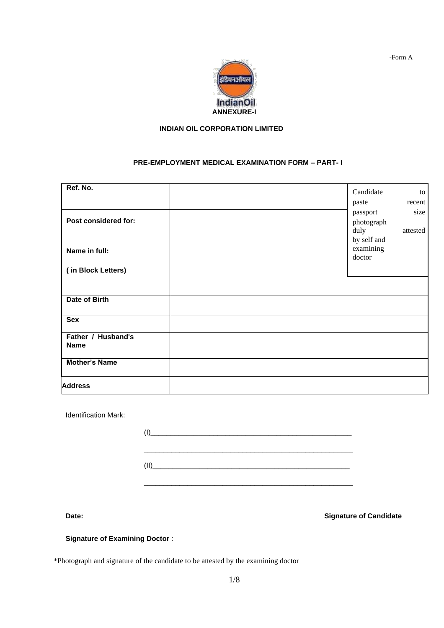

#### **INDIAN OIL CORPORATION LIMITED**

#### **PRE-EMPLOYMENT MEDICAL EXAMINATION FORM – PART- I**

| Ref. No.                          | Candidate                          | to               |
|-----------------------------------|------------------------------------|------------------|
|                                   | paste                              | recent           |
| Post considered for:              | passport<br>photograph<br>duly     | size<br>attested |
| Name in full:                     | by self and<br>examining<br>doctor |                  |
| (in Block Letters)                |                                    |                  |
|                                   |                                    |                  |
| Date of Birth                     |                                    |                  |
| <b>Sex</b>                        |                                    |                  |
| Father / Husband's<br><b>Name</b> |                                    |                  |
| <b>Mother's Name</b>              |                                    |                  |
| <b>Address</b>                    |                                    |                  |

Identification Mark:

| <u>II) _____________________________</u> |  |  |
|------------------------------------------|--|--|

**Date: Date: Signature of Candidate** 

#### **Signature of Examining Doctor** :

\*Photograph and signature of the candidate to be attested by the examining doctor

-Form A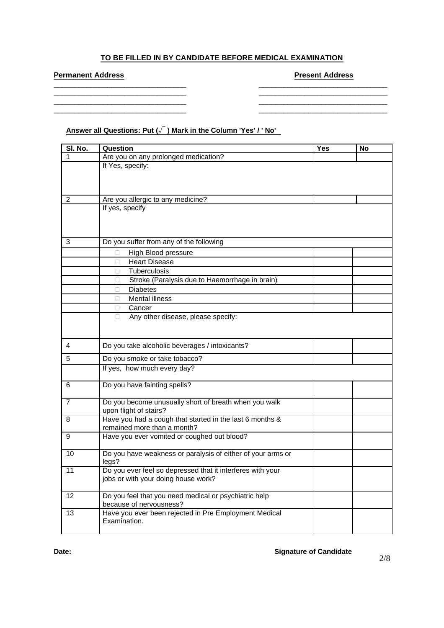### **TO BE FILLED IN BY CANDIDATE BEFORE MEDICAL EXAMINATION**

\_\_\_\_\_\_\_\_\_\_\_\_\_\_\_\_\_\_\_\_\_\_\_\_\_\_\_\_\_\_\_\_ \_\_\_\_\_\_\_\_\_\_\_\_\_\_\_\_\_\_\_\_\_\_\_\_\_\_\_\_\_\_\_ \_\_\_\_\_\_\_\_\_\_\_\_\_\_\_\_\_\_\_\_\_\_\_\_\_\_\_\_\_\_\_\_ \_\_\_\_\_\_\_\_\_\_\_\_\_\_\_\_\_\_\_\_\_\_\_\_\_\_\_\_\_\_\_ \_\_\_\_\_\_\_\_\_\_\_\_\_\_\_\_\_\_\_\_\_\_\_\_\_\_\_\_\_\_\_\_ \_\_\_\_\_\_\_\_\_\_\_\_\_\_\_\_\_\_\_\_\_\_\_\_\_\_\_\_\_\_\_ \_\_\_\_\_\_\_\_\_\_\_\_\_\_\_\_\_\_\_\_\_\_\_\_\_\_\_\_\_\_\_\_ \_\_\_\_\_\_\_\_\_\_\_\_\_\_\_\_\_\_\_\_\_\_\_\_\_\_\_\_\_\_\_

# **Permanent Address Permanent Address Address Present Address Present Address Present Address**

**Answer all Questions: Put (√ ) Mark in the Column 'Yes' / ' No'**

| SI. No.        | Question                                                                         | Yes | <b>No</b> |
|----------------|----------------------------------------------------------------------------------|-----|-----------|
| 1              | Are you on any prolonged medication?                                             |     |           |
|                | If Yes, specify:                                                                 |     |           |
|                |                                                                                  |     |           |
|                |                                                                                  |     |           |
| $\overline{2}$ | Are you allergic to any medicine?                                                |     |           |
|                | If yes, specify                                                                  |     |           |
|                |                                                                                  |     |           |
|                |                                                                                  |     |           |
| 3              | Do you suffer from any of the following                                          |     |           |
|                | High Blood pressure<br>□                                                         |     |           |
|                | <b>Heart Disease</b><br>П                                                        |     |           |
|                | Tuberculosis<br>П.                                                               |     |           |
|                | Stroke (Paralysis due to Haemorrhage in brain)<br>П.                             |     |           |
|                | <b>Diabetes</b><br>П                                                             |     |           |
|                | <b>Mental illness</b>                                                            |     |           |
|                | Cancer                                                                           |     |           |
|                | Any other disease, please specify:<br>$\Box$                                     |     |           |
|                |                                                                                  |     |           |
|                |                                                                                  |     |           |
| 4              | Do you take alcoholic beverages / intoxicants?                                   |     |           |
| 5              | Do you smoke or take tobacco?                                                    |     |           |
|                | If yes, how much every day?                                                      |     |           |
| 6              | Do you have fainting spells?                                                     |     |           |
|                |                                                                                  |     |           |
| $\overline{7}$ | Do you become unusually short of breath when you walk                            |     |           |
|                | upon flight of stairs?                                                           |     |           |
| 8              | Have you had a cough that started in the last 6 months &                         |     |           |
|                | remained more than a month?                                                      |     |           |
| 9              | Have you ever vomited or coughed out blood?                                      |     |           |
| 10             | Do you have weakness or paralysis of either of your arms or                      |     |           |
|                | legs?                                                                            |     |           |
| 11             | Do you ever feel so depressed that it interferes with your                       |     |           |
|                | jobs or with your doing house work?                                              |     |           |
|                |                                                                                  |     |           |
| 12             | Do you feel that you need medical or psychiatric help<br>because of nervousness? |     |           |
| 13             | Have you ever been rejected in Pre Employment Medical                            |     |           |
|                | Examination.                                                                     |     |           |
|                |                                                                                  |     |           |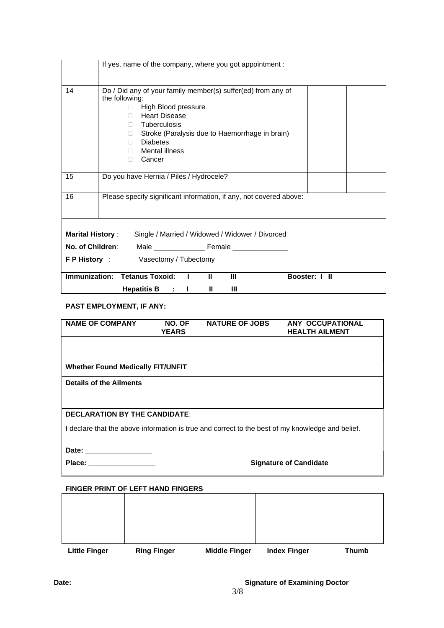|                         | If yes, name of the company, where you got appointment :                                                                                                                                                                                                                                              |
|-------------------------|-------------------------------------------------------------------------------------------------------------------------------------------------------------------------------------------------------------------------------------------------------------------------------------------------------|
| 14                      | Do / Did any of your family member(s) suffer(ed) from any of<br>the following:<br>High Blood pressure<br>$\Box$<br><b>Heart Disease</b><br>П.<br>Tuberculosis<br>$\mathbb{R}$<br>Stroke (Paralysis due to Haemorrhage in brain)<br>П.<br><b>Diabetes</b><br>П.<br>Mental illness<br>П.<br>Cancer<br>П |
| 15                      | Do you have Hernia / Piles / Hydrocele?                                                                                                                                                                                                                                                               |
| 16                      | Please specify significant information, if any, not covered above:                                                                                                                                                                                                                                    |
| <b>Marital History:</b> | Single / Married / Widowed / Widower / Divorced<br><b>F P History</b> : Vasectomy / Tubectomy                                                                                                                                                                                                         |
|                         | <b>Immunization: Tetanus Toxoid:</b><br>Ш<br>Ш<br>Booster: I II                                                                                                                                                                                                                                       |
|                         | Hepatitis B :<br>Ш<br>Ш                                                                                                                                                                                                                                                                               |

#### **PAST EMPLOYMENT, IF ANY:**

| <b>NAME OF COMPANY</b>                   | NO. OF       | <b>NATURE OF JOBS</b> | ANY OCCUPATIONAL                                                                                 |
|------------------------------------------|--------------|-----------------------|--------------------------------------------------------------------------------------------------|
|                                          | <b>YEARS</b> |                       | <b>HEALTH AILMENT</b>                                                                            |
|                                          |              |                       |                                                                                                  |
|                                          |              |                       |                                                                                                  |
|                                          |              |                       |                                                                                                  |
|                                          |              |                       |                                                                                                  |
| <b>Whether Found Medically FIT/UNFIT</b> |              |                       |                                                                                                  |
|                                          |              |                       |                                                                                                  |
| <b>Details of the Ailments</b>           |              |                       |                                                                                                  |
|                                          |              |                       |                                                                                                  |
|                                          |              |                       |                                                                                                  |
|                                          |              |                       |                                                                                                  |
| <b>DECLARATION BY THE CANDIDATE:</b>     |              |                       |                                                                                                  |
|                                          |              |                       |                                                                                                  |
|                                          |              |                       | I declare that the above information is true and correct to the best of my knowledge and belief. |
|                                          |              |                       |                                                                                                  |
|                                          |              |                       |                                                                                                  |
|                                          |              |                       |                                                                                                  |
|                                          |              |                       |                                                                                                  |
| Place: __________________                |              |                       | <b>Signature of Candidate</b>                                                                    |
|                                          |              |                       |                                                                                                  |

#### **FINGER PRINT OF LEFT HAND FINGERS**

| <b>Little Finger</b> | <b>Ring Finger</b> | <b>Middle Finger</b> | <b>Index Finger</b> | <b>Thumb</b> |
|----------------------|--------------------|----------------------|---------------------|--------------|
|                      |                    |                      |                     |              |
|                      |                    |                      |                     |              |
|                      |                    |                      |                     |              |
|                      |                    |                      |                     |              |
|                      |                    |                      |                     |              |
|                      |                    |                      |                     |              |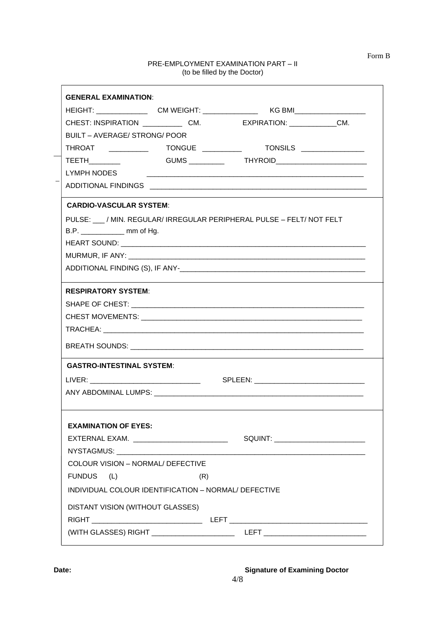#### PRE-EMPLOYMENT EXAMINATION PART – II (to be filled by the Doctor)

Form B

|                                                                                          |     | HEIGHT: ____________________CM WEIGHT: ________________________KG BMI_______________________________                                                                                                                           |  |
|------------------------------------------------------------------------------------------|-----|--------------------------------------------------------------------------------------------------------------------------------------------------------------------------------------------------------------------------------|--|
|                                                                                          |     | CHEST: INSPIRATION CM. CM. EXPIRATION: CM.                                                                                                                                                                                     |  |
| BUILT - AVERAGE/ STRONG/ POOR                                                            |     |                                                                                                                                                                                                                                |  |
| THROAT _________                                                                         |     |                                                                                                                                                                                                                                |  |
| TEETH                                                                                    |     | GUMS __________  THYROID________________________                                                                                                                                                                               |  |
| LYMPH NODES                                                                              |     |                                                                                                                                                                                                                                |  |
|                                                                                          |     |                                                                                                                                                                                                                                |  |
| <b>CARDIO-VASCULAR SYSTEM:</b>                                                           |     |                                                                                                                                                                                                                                |  |
|                                                                                          |     | PULSE: / MIN. REGULAR/ IRREGULAR PERIPHERAL PULSE - FELT/ NOT FELT                                                                                                                                                             |  |
| B.P. ________________ mm of Hg.                                                          |     |                                                                                                                                                                                                                                |  |
|                                                                                          |     |                                                                                                                                                                                                                                |  |
|                                                                                          |     | MURMUR, IF ANY: New York Contract the Contract of the Contract of the Contract of the Contract of the Contract of the Contract of the Contract of the Contract of the Contract of the Contract of the Contract of the Contract |  |
|                                                                                          |     |                                                                                                                                                                                                                                |  |
| <b>RESPIRATORY SYSTEM:</b>                                                               |     |                                                                                                                                                                                                                                |  |
|                                                                                          |     |                                                                                                                                                                                                                                |  |
|                                                                                          |     |                                                                                                                                                                                                                                |  |
|                                                                                          |     |                                                                                                                                                                                                                                |  |
|                                                                                          |     |                                                                                                                                                                                                                                |  |
| <b>GASTRO-INTESTINAL SYSTEM:</b>                                                         |     |                                                                                                                                                                                                                                |  |
|                                                                                          |     |                                                                                                                                                                                                                                |  |
|                                                                                          |     |                                                                                                                                                                                                                                |  |
|                                                                                          |     |                                                                                                                                                                                                                                |  |
| <b>EXAMINATION OF EYES:</b>                                                              |     |                                                                                                                                                                                                                                |  |
| EXTERNAL EXAM. _____________________________                                             |     | SQUINT: ___________________________                                                                                                                                                                                            |  |
| NYSTAGMUS: __________________                                                            |     |                                                                                                                                                                                                                                |  |
| <b>COLOUR VISION - NORMAL/ DEFECTIVE</b>                                                 |     |                                                                                                                                                                                                                                |  |
| <b>FUNDUS</b><br>(L)                                                                     | (R) |                                                                                                                                                                                                                                |  |
|                                                                                          |     |                                                                                                                                                                                                                                |  |
|                                                                                          |     |                                                                                                                                                                                                                                |  |
|                                                                                          |     |                                                                                                                                                                                                                                |  |
| INDIVIDUAL COLOUR IDENTIFICATION - NORMAL/ DEFECTIVE<br>DISTANT VISION (WITHOUT GLASSES) |     |                                                                                                                                                                                                                                |  |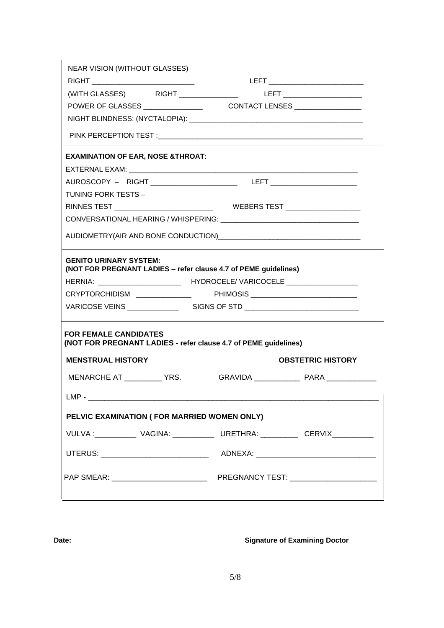| <b>EXAMINATION OF EAR, NOSE &amp;THROAT:</b>             |                                                                 |                                                                                  |
|----------------------------------------------------------|-----------------------------------------------------------------|----------------------------------------------------------------------------------|
|                                                          |                                                                 |                                                                                  |
|                                                          |                                                                 | AUROSCOPY – RIGHT ________________________________LEFT _________________________ |
| TUNING FORK TESTS -                                      |                                                                 |                                                                                  |
|                                                          |                                                                 |                                                                                  |
|                                                          |                                                                 |                                                                                  |
|                                                          |                                                                 |                                                                                  |
| <b>GENITO URINARY SYSTEM:</b>                            | (NOT FOR PREGNANT LADIES - refer clause 4.7 of PEME guidelines) |                                                                                  |
|                                                          |                                                                 | CRYPTORCHIDISM _______________  PHIMOSIS __________________________              |
|                                                          |                                                                 |                                                                                  |
|                                                          |                                                                 |                                                                                  |
| <b>FOR FEMALE CANDIDATES</b><br><b>MENSTRUAL HISTORY</b> | (NOT FOR PREGNANT LADIES - refer clause 4.7 of PEME guidelines) | <b>OBSTETRIC HISTORY</b>                                                         |
| MENARCHE AT ___________ YRS.                             |                                                                 |                                                                                  |
|                                                          | $LMP -$                                                         |                                                                                  |
|                                                          | PELVIC EXAMINATION ( FOR MARRIED WOMEN ONLY)                    |                                                                                  |
|                                                          |                                                                 | VULVA : ____________ VAGINA: ____________ URETHRA: __________ CERVIX___________  |
|                                                          |                                                                 |                                                                                  |

#### **Date: Date: CONSISTENT AND INCORPORATION CONSISTENT AND SIGNATURE OF Examining Doctor**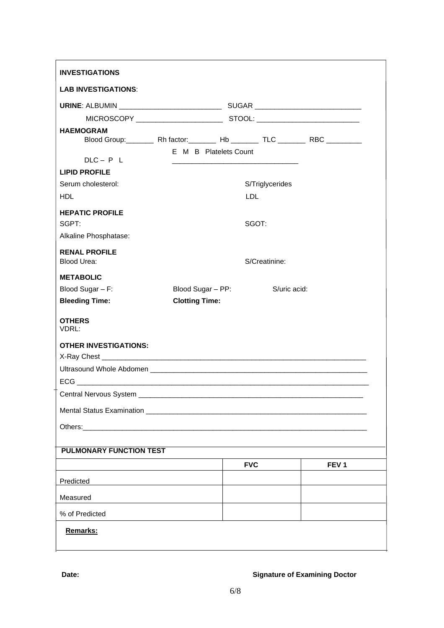| <b>LAB INVESTIGATIONS:</b>                                                                                                                                                                                                     |                       |                       |                 |                  |
|--------------------------------------------------------------------------------------------------------------------------------------------------------------------------------------------------------------------------------|-----------------------|-----------------------|-----------------|------------------|
|                                                                                                                                                                                                                                |                       |                       |                 |                  |
|                                                                                                                                                                                                                                |                       |                       |                 |                  |
| <b>HAEMOGRAM</b>                                                                                                                                                                                                               |                       |                       |                 |                  |
| $DLC - P L$                                                                                                                                                                                                                    |                       | E M B Platelets Count |                 |                  |
| <b>LIPID PROFILE</b>                                                                                                                                                                                                           |                       |                       |                 |                  |
| Serum cholesterol:                                                                                                                                                                                                             |                       |                       | S/Triglycerides |                  |
| <b>HDL</b>                                                                                                                                                                                                                     |                       | <b>LDL</b>            |                 |                  |
|                                                                                                                                                                                                                                |                       |                       |                 |                  |
| <b>HEPATIC PROFILE</b><br>SGPT:                                                                                                                                                                                                |                       |                       | SGOT:           |                  |
| Alkaline Phosphatase:                                                                                                                                                                                                          |                       |                       |                 |                  |
|                                                                                                                                                                                                                                |                       |                       |                 |                  |
| <b>RENAL PROFILE</b><br><b>Blood Urea:</b>                                                                                                                                                                                     |                       |                       | S/Creatinine:   |                  |
| <b>METABOLIC</b>                                                                                                                                                                                                               |                       |                       |                 |                  |
| Blood Sugar - F:                                                                                                                                                                                                               | Blood Sugar - PP:     |                       | S/uric acid:    |                  |
| <b>Bleeding Time:</b>                                                                                                                                                                                                          | <b>Clotting Time:</b> |                       |                 |                  |
| <b>OTHERS</b>                                                                                                                                                                                                                  |                       |                       |                 |                  |
| VDRL:                                                                                                                                                                                                                          |                       |                       |                 |                  |
| <b>OTHER INVESTIGATIONS:</b>                                                                                                                                                                                                   |                       |                       |                 |                  |
|                                                                                                                                                                                                                                |                       |                       |                 |                  |
|                                                                                                                                                                                                                                |                       |                       |                 |                  |
|                                                                                                                                                                                                                                |                       |                       |                 |                  |
| Central Nervous System ______                                                                                                                                                                                                  |                       |                       |                 |                  |
| Mental Status Examination <b>Example 2008</b> Status 1999 and 2008 Status 1999 and 2008 Status 1999 and 2008 Status 1999                                                                                                       |                       |                       |                 |                  |
| Others: Web and the contract of the contract of the contract of the contract of the contract of the contract of the contract of the contract of the contract of the contract of the contract of the contract of the contract o |                       |                       |                 |                  |
|                                                                                                                                                                                                                                |                       |                       |                 |                  |
| <b>PULMONARY FUNCTION TEST</b>                                                                                                                                                                                                 |                       |                       |                 |                  |
|                                                                                                                                                                                                                                |                       | <b>FVC</b>            |                 | FEV <sub>1</sub> |
| Predicted                                                                                                                                                                                                                      |                       |                       |                 |                  |
| Measured                                                                                                                                                                                                                       |                       |                       |                 |                  |
| % of Predicted                                                                                                                                                                                                                 |                       |                       |                 |                  |
|                                                                                                                                                                                                                                |                       |                       |                 |                  |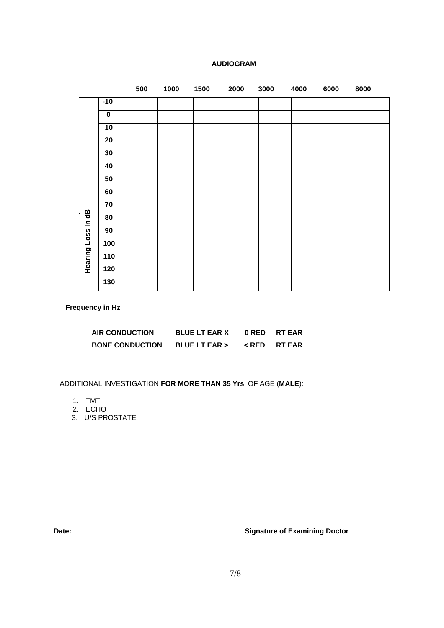|                 | 500 | 1000 | 1500 | 2000 | 3000 | 4000 | 6000 | 8000 |
|-----------------|-----|------|------|------|------|------|------|------|
| $-10$           |     |      |      |      |      |      |      |      |
| $\bf{0}$        |     |      |      |      |      |      |      |      |
| 10              |     |      |      |      |      |      |      |      |
| $\overline{20}$ |     |      |      |      |      |      |      |      |
| 30              |     |      |      |      |      |      |      |      |
| 40              |     |      |      |      |      |      |      |      |
| ${\bf 50}$      |     |      |      |      |      |      |      |      |
| 60              |     |      |      |      |      |      |      |      |
| $\overline{70}$ |     |      |      |      |      |      |      |      |
| 80              |     |      |      |      |      |      |      |      |
| 90              |     |      |      |      |      |      |      |      |

# **AUDIOGRAM**

**Frequency in Hz**

**Hearing Loss In dB**

Hearing Loss In dB

| <b>AIR CONDUCTION</b>  | <b>BLUE LT EAR X</b> | ORED RTEAR                          |
|------------------------|----------------------|-------------------------------------|
| <b>BONE CONDUCTION</b> | BLUE LT EAR >        | <b><redrtear< b=""></redrtear<></b> |

ADDITIONAL INVESTIGATION **FOR MORE THAN 35 Yrs**. OF AGE (**MALE**):

- 1. TMT
- 2. ECHO
- 3. U/S PROSTATE

**Date: Date: CONSISTENT CONSISTENT CONSISTENT CONSISTENT CONSISTENT CONSISTENT CONSISTENT CONSISTENT CONSISTENT CONSISTENT CONSISTENT CONSISTENT CONSISTENT CONSISTENT CONSISTENT CONSISTENT CONSISTENT CONSISTENT CONSIST**